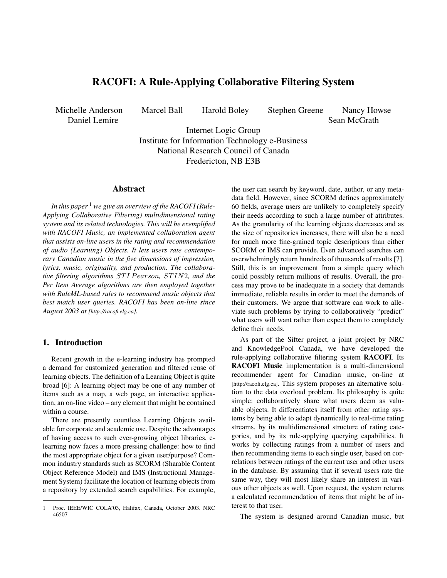# RACOFI: A Rule-Applying Collaborative Filtering System

Daniel Lemire

Michelle Anderson Marcel Ball Harold Boley Stephen Greene Nancy Howse

Sean McGrath

Internet Logic Group Institute for Information Technology e-Business National Research Council of Canada Fredericton, NB E3B

## Abstract

*In this paper* <sup>1</sup> *we give an overview of the RACOFI (Rule-Applying Collaborative Filtering) multidimensional rating system and its related technologies. This will be exemplified with RACOFI Music, an implemented collaboration agent that assists on-line users in the rating and recommendation of audio (Learning) Objects. It lets users rate contemporary Canadian music in the five dimensions of impression, lyrics, music, originality, and production. The collaborative filtering algorithms STI Pearson, STIN2, and the Per Item Average algorithms are then employed together with RuleML-based rules to recommend music objects that best match user queries. RACOFI has been on-line since August 2003 at [http://racofi.elg.ca].*

# 1. Introduction

Recent growth in the e-learning industry has prompted a demand for customized generation and filtered reuse of learning objects. The definition of a Learning Object is quite broad [6]: A learning object may be one of any number of items such as a map, a web page, an interactive application, an on-line video – any element that might be contained within a course.

There are presently countless Learning Objects available for corporate and academic use. Despite the advantages of having access to such ever-growing object libraries, elearning now faces a more pressing challenge: how to find the most appropriate object for a given user/purpose? Common industry standards such as SCORM (Sharable Content Object Reference Model) and IMS (Instructional Management System) facilitate the location of learning objects from a repository by extended search capabilities. For example,

the user can search by keyword, date, author, or any metadata field. However, since SCORM defines approximately 60 fields, average users are unlikely to completely specify their needs according to such a large number of attributes. As the granularity of the learning objects decreases and as the size of repositories increases, there will also be a need for much more fine-grained topic descriptions than either SCORM or IMS can provide. Even advanced searches can overwhelmingly return hundreds of thousands of results [7]. Still, this is an improvement from a simple query which could possibly return millions of results. Overall, the process may prove to be inadequate in a society that demands immediate, reliable results in order to meet the demands of their customers. We argue that software can work to alleviate such problems by trying to collaboratively "predict" what users will want rather than expect them to completely define their needs.

As part of the Sifter project, a joint project by NRC and KnowledgePool Canada, we have developed the rule-applying collaborative filtering system RACOFI. Its RACOFI Music implementation is a multi-dimensional recommender agent for Canadian music, on-line at [http://racofi.elg.ca]. This system proposes an alternative solution to the data overload problem. Its philosophy is quite simple: collaboratively share what users deem as valuable objects. It differentiates itself from other rating systems by being able to adapt dynamically to real-time rating streams, by its multidimensional structure of rating categories, and by its rule-applying querying capabilities. It works by collecting ratings from a number of users and then recommending items to each single user, based on correlations between ratings of the current user and other users in the database. By assuming that if several users rate the same way, they will most likely share an interest in various other objects as well. Upon request, the system returns a calculated recommendation of items that might be of interest to that user.

The system is designed around Canadian music, but

<sup>1</sup> Proc. IEEE/WIC COLA'03, Halifax, Canada, October 2003. NRC 46507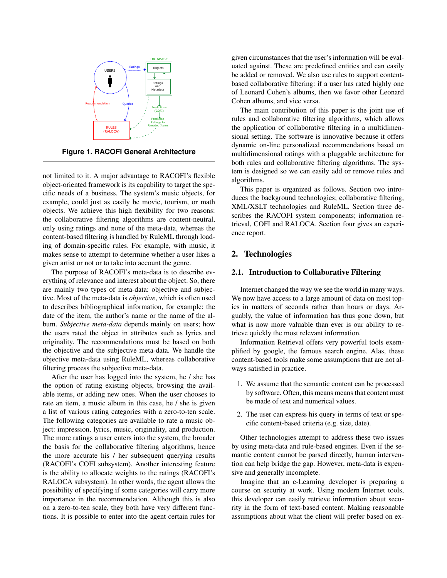

**Figure 1. RACOFI General Architecture**

not limited to it. A major advantage to RACOFI's flexible object-oriented framework is its capability to target the specific needs of a business. The system's music objects, for example, could just as easily be movie, tourism, or math objects. We achieve this high flexibility for two reasons: the collaborative filtering algorithms are content-neutral, only using ratings and none of the meta-data, whereas the content-based filtering is handled by RuleML through loading of domain-specific rules. For example, with music, it makes sense to attempt to determine whether a user likes a given artist or not or to take into account the genre.

The purpose of RACOFI's meta-data is to describe everything of relevance and interest about the object. So, there are mainly two types of meta-data: objective and subjective. Most of the meta-data is *objective*, which is often used to describes bibliographical information, for example: the date of the item, the author's name or the name of the album. *Subjective meta-data* depends mainly on users; how the users rated the object in attributes such as lyrics and originality. The recommendations must be based on both the objective and the subjective meta-data. We handle the objective meta-data using RuleML, whereas collaborative filtering process the subjective meta-data.

After the user has logged into the system, he / she has the option of rating existing objects, browsing the available items, or adding new ones. When the user chooses to rate an item, a music album in this case, he / she is given a list of various rating categories with a zero-to-ten scale. The following categories are available to rate a music object: impression, lyrics, music, originality, and production. The more ratings a user enters into the system, the broader the basis for the collaborative filtering algorithms, hence the more accurate his / her subsequent querying results (RACOFI's COFI subsystem). Another interesting feature is the ability to allocate weights to the ratings (RACOFI's RALOCA subsystem). In other words, the agent allows the possibility of specifying if some categories will carry more importance in the recommendation. Although this is also on a zero-to-ten scale, they both have very different functions. It is possible to enter into the agent certain rules for

given circumstances that the user's information will be evaluated against. These are predefined entities and can easily be added or removed. We also use rules to support contentbased collaborative filtering: if a user has rated highly one of Leonard Cohen's albums, then we favor other Leonard Cohen albums, and vice versa.

The main contribution of this paper is the joint use of rules and collaborative filtering algorithms, which allows the application of collaborative filtering in a multidimensional setting. The software is innovative because it offers dynamic on-line personalized recommendations based on multidimensional ratings with a pluggable architecture for both rules and collaborative filtering algorithms. The system is designed so we can easily add or remove rules and algorithms.

This paper is organized as follows. Section two introduces the background technologies; collaborative filtering, XML/XSLT technologies and RuleML. Section three describes the RACOFI system components; information retrieval, COFI and RALOCA. Section four gives an experience report.

## 2. Technologies

#### 2.1. Introduction to Collaborative Filtering

Internet changed the way we see the world in many ways. We now have access to a large amount of data on most topics in matters of seconds rather than hours or days. Arguably, the value of information has thus gone down, but what is now more valuable than ever is our ability to retrieve quickly the most relevant information.

Information Retrieval offers very powerful tools exemplified by google, the famous search engine. Alas, these content-based tools make some assumptions that are not always satisfied in practice.

- 1. We assume that the semantic content can be processed by software. Often, this means means that content must be made of text and numerical values.
- 2. The user can express his query in terms of text or specific content-based criteria (e.g. size, date).

Other technologies attempt to address these two issues by using meta-data and rule-based engines. Even if the semantic content cannot be parsed directly, human intervention can help bridge the gap. However, meta-data is expensive and generally incomplete.

Imagine that an e-Learning developer is preparing a course on security at work. Using modern Internet tools, this developer can easily retrieve information about security in the form of text-based content. Making reasonable assumptions about what the client will prefer based on ex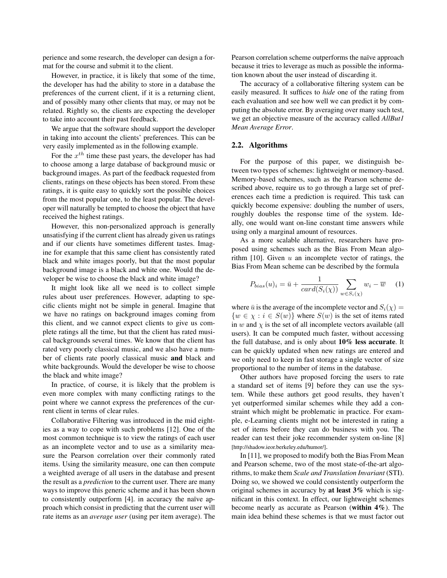perience and some research, the developer can design a format for the course and submit it to the client.

However, in practice, it is likely that some of the time, the developer has had the ability to store in a database the preferences of the current client, if it is a returning client, and of possibly many other clients that may, or may not be related. Rightly so, the clients are expecting the developer to take into account their past feedback.

We argue that the software should support the developer in taking into account the clients' preferences. This can be very easily implemented as in the following example.

For the  $x^{th}$  time these past years, the developer has had to choose among a large database of background music or background images. As part of the feedback requested from clients, ratings on these objects has been stored. From these ratings, it is quite easy to quickly sort the possible choices from the most popular one, to the least popular. The developer will naturally be tempted to choose the object that have received the highest ratings.

However, this non-personalized approach is generally unsatisfying if the current client has already given us ratings and if our clients have sometimes different tastes. Imagine for example that this same client has consistently rated black and white images poorly, but that the most popular background image is a black and white one. Would the developer be wise to choose the black and white image?

It might look like all we need is to collect simple rules about user preferences. However, adapting to specific clients might not be simple in general. Imagine that we have no ratings on background images coming from this client, and we cannot expect clients to give us complete ratings all the time, but that the client has rated musical backgrounds several times. We know that the client has rated very poorly classical music, and we also have a number of clients rate poorly classical music and black and white backgrounds. Would the developer be wise to choose the black and white image?

In practice, of course, it is likely that the problem is even more complex with many conflicting ratings to the point where we cannot express the preferences of the current client in terms of clear rules.

Collaborative Filtering was introduced in the mid eighties as a way to cope with such problems [12]. One of the most common technique is to view the ratings of each user as an incomplete vector and to use as a similarity measure the Pearson correlation over their commonly rated items. Using the similarity measure, one can then compute a weighted average of all users in the database and present the result as a *prediction* to the current user. There are many ways to improve this generic scheme and it has been shown to consistently outperform [4]. in accuracy the naïve approach which consist in predicting that the current user will rate items as an *average user* (using per item average). The Pearson correlation scheme outperforms the naïve approach because it tries to leverage as much as possible the information known about the user instead of discarding it.

The accuracy of a collaborative filtering system can be easily measured. It suffices to *hide* one of the rating from each evaluation and see how well we can predict it by computing the absolute error. By averaging over many such test, we get an objective measure of the accuracy called *AllBut1 Mean Average Error*.

#### 2.2. Algorithms

For the purpose of this paper, we distinguish between two types of schemes: lightweight or memory-based. Memory-based schemes, such as the Pearson scheme described above, require us to go through a large set of preferences each time a prediction is required. This task can quickly become expensive: doubling the number of users, roughly doubles the response time of the system. Ideally, one would want on-line constant time answers while using only a marginal amount of resources.

As a more scalable alternative, researchers have proposed using schemes such as the Bias From Mean algorithm [10]. Given  $u$  an incomplete vector of ratings, the Bias From Mean scheme can be described by the formula

$$
P_{bias}(u)_i = \bar{u} + \frac{1}{card(S_i(\chi))} \sum_{w \in S_i(\chi)} w_i - \overline{w} \quad (1)
$$

where  $\bar{u}$  is the average of the incomplete vector and  $S_i(\chi)$  =  $\{w \in \chi : i \in S(w)\}\$  where  $S(w)$  is the set of items rated in w and  $\chi$  is the set of all incomplete vectors available (all users). It can be computed much faster, without accessing the full database, and is only about  $10\%$  less accurate. It can be quickly updated when new ratings are entered and we only need to keep in fast storage a single vector of size proportional to the number of items in the database.

Other authors have proposed forcing the users to rate a standard set of items [9] before they can use the system. While these authors get good results, they haven't yet outperformed similar schemes while they add a constraint which might be problematic in practice. For example, e-Learning clients might not be interested in rating a set of items before they can do business with you. The reader can test their joke recommender system on-line [8] [http://shadow.ieor.berkeley.edu/humor/].

In [11], we proposed to modify both the Bias From Mean and Pearson scheme, two of the most state-of-the-art algorithms, to make them *Scale and Translation Invariant* (STI). Doing so, we showed we could consistently outperform the original schemes in accuracy by at least 3% which is significant in this context. In effect, our lightweight schemes become nearly as accurate as Pearson (within 4%). The main idea behind these schemes is that we must factor out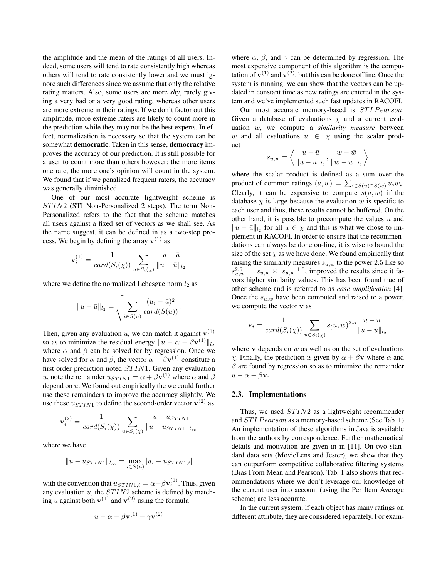the amplitude and the mean of the ratings of all users. Indeed, some users will tend to rate consistently high whereas others will tend to rate consistently lower and we must ignore such differences since we assume that only the relative rating matters. Also, some users are more *shy*, rarely giving a very bad or a very good rating, whereas other users are more extreme in their ratings. If we don't factor out this amplitude, more extreme raters are likely to count more in the prediction while they may not be the best experts. In effect, normalization is necessary so that the system can be somewhat democratic. Taken in this sense, democracy improves the accuracy of our prediction. It is still possible for a user to count more than others however: the more items one rate, the more one's opinion will count in the system. We found that if we penalized frequent raters, the accuracy was generally diminished.

One of our most accurate lightweight scheme is  $STIN2$  (STI Non-Personalized 2 steps). The term Non-Personalized refers to the fact that the scheme matches all users against a fixed set of vectors as we shall see. As the name suggest, it can be defined in as a two-step process. We begin by defining the array  $\mathbf{v}^{(1)}$  as

$$
\mathbf{v}_{i}^{(1)} = \frac{1}{card(S_{i}(\chi))} \sum_{u \in S_{i}(\chi)} \frac{u - \bar{u}}{\|u - \bar{u}\|_{l_2}}
$$

where we define the normalized Lebesgue norm  $l_2$  as

$$
||u - \bar{u}||_{l_2} = \sqrt{\sum_{i \in S(u)} \frac{(u_i - \bar{u})^2}{card(S(u))}}.
$$

Then, given any evaluation u, we can match it against  $\mathbf{v}^{(1)}$ so as to minimize the residual energy  $||u - \alpha - \beta \mathbf{v}^{(1)}||_{l_2}$ where  $\alpha$  and  $\beta$  can be solved for by regression. Once we have solved for  $\alpha$  and  $\beta$ , the vector  $\alpha + \beta \mathbf{v}^{(1)}$  constitute a first order prediction noted  $STIN1$ . Given any evaluation *u*, note the remainder  $u_{STIN1} = \alpha + \beta \mathbf{v}^{(1)}$  where  $\alpha$  and  $\beta$ depend on  $u$ . We found out empirically the we could further use these remainders to improve the accuracy slightly. We use these  $u_{STIN1}$  to define the second-order vector  $\mathbf{v}^{(2)}$  as

$$
\mathbf{v}_i^{(2)} = \frac{1}{card(S_i(\chi))} \sum_{u \in S_i(\chi)} \frac{u - u_{STIN1}}{||u - u_{STIN1}||_{l_\infty}}
$$

where we have

$$
||u - u_{STIN1}||_{l_{\infty}} = \max_{i \in S(u)} |u_i - u_{STIN1,i}|
$$

with the convention that  $u_{STIN1,i} = \alpha + \beta \mathbf{v}_i^{(1)}$ . Thus, given any evaluation  $u$ , the  $STIN2$  scheme is defined by matching u against both  $\mathbf{v}^{(1)}$  and  $\mathbf{v}^{(2)}$  using the formula

$$
u - \alpha - \beta \mathbf{v}^{(1)} - \gamma \mathbf{v}^{(2)}
$$

where  $\alpha$ ,  $\beta$ , and  $\gamma$  can be determined by regression. The most expensive component of this algorithm is the computation of  $\mathbf{v}^{(1)}$  and  $\mathbf{v}^{(2)}$ , but this can be done offline. Once the system is running, we can show that the vectors can be updated in constant time as new ratings are entered in the system and we've implemented such fast updates in RACOFI.

Our most accurate memory-based is STI Pearson. Given a database of evaluations  $\chi$  and a current evaluation w, we compute a *similarity measure* between w and all evaluations  $u \in \chi$  using the scalar product

$$
s_{u,w} = \left\langle \frac{u - \bar{u}}{\|u - \bar{u}\|_{l_2}}, \frac{w - \bar{w}}{\|w - \bar{w}\|_{l_2}} \right\rangle
$$

where the scalar product is defined as a sum over the product of common ratings  $\langle u, w \rangle = \sum_{i \in S(u) \cap S(w)} u_i w_i$ . Clearly, it can be expensive to compute  $s(u, w)$  if the database  $\chi$  is large because the evaluation w is specific to each user and thus, these results cannot be buffered. On the other hand, it is possible to precompute the values  $\bar{u}$  and  $||u - \bar{u}||_{l_2}$  for all  $u \in \chi$  and this is what we chose to implement in RACOFI. In order to ensure that the recommendations can always be done on-line, it is wise to bound the size of the set  $\chi$  as we have done. We found empirically that raising the similarity measures  $s_{u,w}$  to the power 2.5 like so  $s_{u,w}^{2.5} = s_{u,w} \times |s_{u,w}|^{1.5}$ , improved the results since it favors higher similarity values. This has been found true of other scheme and is referred to as *case amplification* [4]. Once the  $s_{u,w}$  have been computed and raised to a power, we compute the vector v as

$$
\mathbf{v}_{i} = \frac{1}{card(S_{i}(\chi))} \sum_{u \in S_{i}(\chi)} s(u, w)^{2.5} \frac{u - \bar{u}}{\|u - \bar{u}\|_{l_{2}}}
$$

where  $\bf{v}$  depends on  $w$  as well as on the set of evaluations χ. Finally, the prediction is given by  $\alpha + \beta$ v where  $\alpha$  and  $\beta$  are found by regression so as to minimize the remainder  $u - \alpha - \beta \mathbf{v}$ .

#### 2.3. Implementations

Thus, we used  $STIN2$  as a lightweight recommender and STI Pearson as a memory-based scheme (See Tab. 1) An implementation of these algorithms in Java is available from the authors by correspondence. Further mathematical details and motivation are given in in [11]. On two standard data sets (MovieLens and Jester), we show that they can outperform competitive collaborative filtering systems (Bias From Mean and Pearson). Tab. 1 also shows that recommendations where we don't leverage our knowledge of the current user into account (using the Per Item Average scheme) are less accurate.

In the current system, if each object has many ratings on different attribute, they are considered separately. For exam-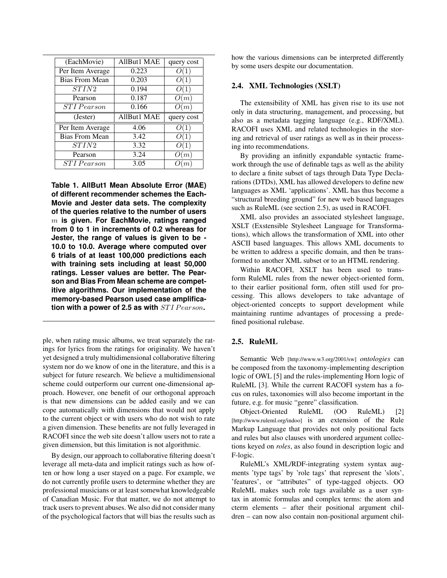| AllBut1 MAE | query cost |
|-------------|------------|
| 0.223       |            |
| 0.203       |            |
| 0.194       |            |
| 0.187       | O(m)       |
|             |            |
| 0.166       | (m)        |
| AllBut1 MAE | query cost |
| 4.06        |            |
| 3.42        |            |
| 3.32        |            |
| 3.24        | m          |
|             |            |

**Table 1. AllBut1 Mean Absolute Error (MAE) of different recommender schemes the Each-Movie and Jester data sets. The complexity of the queries relative to the number of users** m **is given. For EachMovie, ratings ranged from 0 to 1 in increments of 0.2 whereas for Jester, the range of values is given to be - 10.0 to 10.0. Average where computed over 6 trials of at least 100,000 predictions each with training sets including at least 50,000 ratings. Lesser values are better. The Pearson and Bias From Mean scheme are competitive algorithms. Our implementation of the memory-based Pearson used case amplification with a power of 2.5 as with**  $STI$  Pearson.

ple, when rating music albums, we treat separately the ratings for lyrics from the ratings for originality. We haven't yet designed a truly multidimensional collaborative filtering system nor do we know of one in the literature, and this is a subject for future research. We believe a multidimensional scheme could outperform our current one-dimensional approach. However, one benefit of our orthogonal approach is that new dimensions can be added easily and we can cope automatically with dimensions that would not apply to the current object or with users who do not wish to rate a given dimension. These benefits are not fully leveraged in RACOFI since the web site doesn't allow users not to rate a given dimension, but this limitation is not algorithmic.

By design, our approach to collaborative filtering doesn't leverage all meta-data and implicit ratings such as how often or how long a user stayed on a page. For example, we do not currently profile users to determine whether they are professional musicians or at least somewhat knowledgeable of Canadian Music. For that matter, we do not attempt to track users to prevent abuses. We also did not consider many of the psychological factors that will bias the results such as

how the various dimensions can be interpreted differently by some users despite our documentation.

#### 2.4. XML Technologies (XSLT)

The extensibility of XML has given rise to its use not only in data structuring, management, and processing, but also as a metadata tagging language (e.g., RDF/XML). RACOFI uses XML and related technologies in the storing and retrieval of user ratings as well as in their processing into recommendations.

By providing an infinitly expandable syntactic framework through the use of definable tags as well as the ability to declare a finite subset of tags through Data Type Declarations (DTDs), XML has allowed developers to define new languages as XML 'applications'. XML has thus become a "structural breeding ground" for new web based languages such as RuleML (see section 2.5), as used in RACOFI.

XML also provides an associated stylesheet language, XSLT (Exstensible Stylesheet Language for Transformations), which allows the transformation of XML into other ASCII based languages. This allows XML documents to be written to address a specific domain, and then be transformed to another XML subset or to an HTML rendering.

Within RACOFI, XSLT has been used to transform RuleML rules from the newer object-oriented form, to their earlier positional form, often still used for processing. This allows developers to take advantage of object-oriented concepts to support development while maintaining runtime advantages of processing a predefined positional rulebase.

# 2.5. RuleML

Semantic Web [http://www.w3.org/2001/sw] *ontologies* can be composed from the taxonomy-implementing description logic of OWL [5] and the rules-implementing Horn logic of RuleML [3]. While the current RACOFI system has a focus on rules, taxonomies will also become important in the future, e.g. for music "genre" classification.

Object-Oriented RuleML (OO RuleML) [2] [http://www.ruleml.org/indoo] is an extension of the Rule Markup Language that provides not only positional facts and rules but also clauses with unordered argument collections keyed on *roles*, as also found in description logic and F-logic.

RuleML's XML/RDF-integrating system syntax augments 'type tags' by 'role tags' that represent the 'slots', 'features', or "attributes" of type-tagged objects. OO RuleML makes such role tags available as a user syntax in atomic formulas and complex terms: the atom and cterm elements – after their positional argument children – can now also contain non-positional argument chil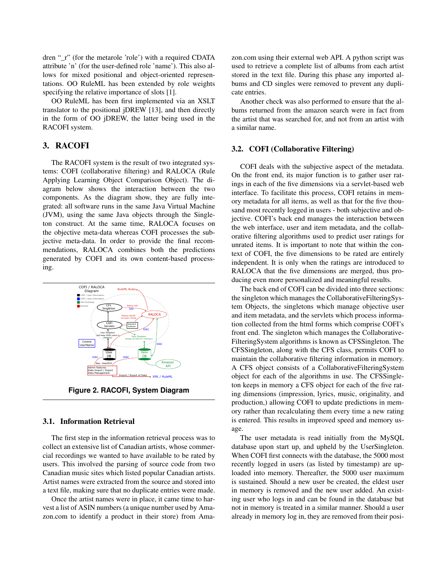dren " r" (for the metarole 'role') with a required CDATA attribute 'n' (for the user-defined role 'name'). This also allows for mixed positional and object-oriented representations. OO RuleML has been extended by role weights specifying the relative importance of slots [1].

OO RuleML has been first implemented via an XSLT translator to the positional jDREW [13], and then directly in the form of OO jDREW, the latter being used in the RACOFI system.

### 3. RACOFI

The RACOFI system is the result of two integrated systems: COFI (collaborative filtering) and RALOCA (Rule Applying Learning Object Comparison Object). The diagram below shows the interaction between the two components. As the diagram show, they are fully integrated: all software runs in the same Java Virtual Machine (JVM), using the same Java objects through the Singleton construct. At the same time, RALOCA focuses on the objective meta-data whereas COFI processes the subjective meta-data. In order to provide the final recommendations, RALOCA combines both the predictions generated by COFI and its own content-based processing.



**Figure 2. RACOFI, System Diagram**

#### 3.1. Information Retrieval

The first step in the information retrieval process was to collect an extensive list of Canadian artists, whose commercial recordings we wanted to have available to be rated by users. This involved the parsing of source code from two Canadian music sites which listed popular Canadian artists. Artist names were extracted from the source and stored into a text file, making sure that no duplicate entries were made.

Once the artist names were in place, it came time to harvest a list of ASIN numbers (a unique number used by Amazon.com to identify a product in their store) from Amazon.com using their external web API. A python script was used to retrieve a complete list of albums from each artist stored in the text file. During this phase any imported albums and CD singles were removed to prevent any duplicate entries.

Another check was also performed to ensure that the albums returned from the amazon search were in fact from the artist that was searched for, and not from an artist with a similar name.

#### 3.2. COFI (Collaborative Filtering)

COFI deals with the subjective aspect of the metadata. On the front end, its major function is to gather user ratings in each of the five dimensions via a servlet-based web interface. To facilitate this process, COFI retains in memory metadata for all items, as well as that for the five thousand most recently logged in users - both subjective and objective. COFI's back end manages the interaction between the web interface, user and item metadata, and the collaborative filtering algorithms used to predict user ratings for unrated items. It is important to note that within the context of COFI, the five dimensions to be rated are entirely independent. It is only when the ratings are introduced to RALOCA that the five dimensions are merged, thus producing even more personalized and meaningful results.

The back end of COFI can be divided into three sections: the singleton which manages the CollaborativeFilteringSystem Objects, the singletons which manage objective user and item metadata, and the servlets which process information collected from the html forms which comprise COFI's front end. The singleton which manages the Collaborative-FilteringSystem algorithms is known as CFSSingleton. The CFSSingleton, along with the CFS class, permits COFI to maintain the collaborative filtering information in memory. A CFS object consists of a CollaborativeFilteringSystem object for each of the algorithms in use. The CFSSingleton keeps in memory a CFS object for each of the five rating dimensions (impression, lyrics, music, originality, and production,) allowing COFI to update predictions in memory rather than recalculating them every time a new rating is entered. This results in improved speed and memory usage.

The user metadata is read initially from the MySQL database upon start up, and upheld by the UserSingleton. When COFI first connects with the database, the 5000 most recently logged in users (as listed by timestamp) are uploaded into memory. Thereafter, the 5000 user maximum is sustained. Should a new user be created, the eldest user in memory is removed and the new user added. An existing user who logs in and can be found in the database but not in memory is treated in a similar manner. Should a user already in memory log in, they are removed from their posi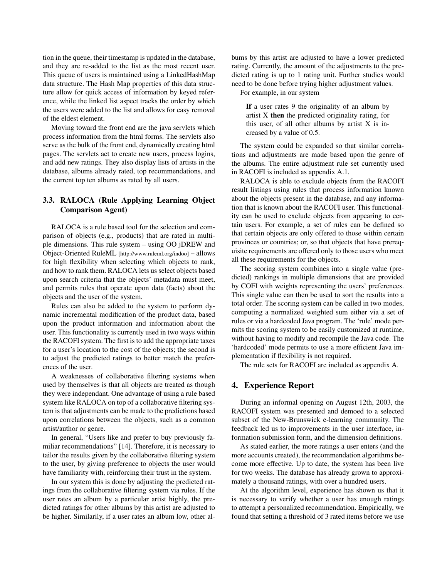tion in the queue, their timestamp is updated in the database, and they are re-added to the list as the most recent user. This queue of users is maintained using a LinkedHashMap data structure. The Hash Map properties of this data structure allow for quick access of information by keyed reference, while the linked list aspect tracks the order by which the users were added to the list and allows for easy removal of the eldest element.

Moving toward the front end are the java servlets which process information from the html forms. The servlets also serve as the bulk of the front end, dynamically creating html pages. The servlets act to create new users, process logins, and add new ratings. They also display lists of artists in the database, albums already rated, top recommendations, and the current top ten albums as rated by all users.

# 3.3. RALOCA (Rule Applying Learning Object Comparison Agent)

RALOCA is a rule based tool for the selection and comparison of objects (e.g., products) that are rated in multiple dimensions. This rule system – using OO jDREW and Object-Oriented RuleML [http://www.ruleml.org/indoo] – allows for high flexibility when selecting which objects to rank, and how to rank them. RALOCA lets us select objects based upon search criteria that the objects' metadata must meet, and permits rules that operate upon data (facts) about the objects and the user of the system.

Rules can also be added to the system to perform dynamic incremental modification of the product data, based upon the product information and information about the user. This functionality is currently used in two ways within the RACOFI system. The first is to add the appropriate taxes for a user's location to the cost of the objects; the second is to adjust the predicted ratings to better match the preferences of the user.

A weaknesses of collaborative filtering systems when used by themselves is that all objects are treated as though they were independant. One advantage of using a rule based system like RALOCA on top of a collaborative filtering system is that adjustments can be made to the predictions based upon correlations between the objects, such as a common artist/author or genre.

In general, "Users like and prefer to buy previously familiar recommendations" [14]. Therefore, it is necessary to tailor the results given by the collaborative filtering system to the user, by giving preference to objects the user would have familiarity with, reinforcing their trust in the system.

In our system this is done by adjusting the predicted ratings from the collaborative filtering system via rules. If the user rates an album by a particular artist highly, the predicted ratings for other albums by this artist are adjusted to be higher. Similarily, if a user rates an album low, other al-

bums by this artist are adjusted to have a lower predicted rating. Currently, the amount of the adjustments to the predicted rating is up to 1 rating unit. Further studies would need to be done before trying higher adjustment values.

For example, in our system

If a user rates 9 the originality of an album by artist X then the predicted originality rating, for this user, of all other albums by artist  $X$  is increased by a value of 0.5.

The system could be expanded so that similar correlations and adjustments are made based upon the genre of the albums. The entire adjustment rule set currently used in RACOFI is included as appendix A.1.

RALOCA is able to exclude objects from the RACOFI result listings using rules that process information known about the objects present in the database, and any information that is known about the RACOFI user. This functionality can be used to exclude objects from appearing to certain users. For example, a set of rules can be defined so that certain objects are only offered to those within certain provinces or countries; or, so that objects that have prerequisite requirements are offered only to those users who meet all these requirements for the objects.

The scoring system combines into a single value (predicted) rankings in multiple dimensions that are provided by COFI with weights representing the users' preferences. This single value can then be used to sort the results into a total order. The scoring system can be called in two modes, computing a normalized weighted sum either via a set of rules or via a hardcoded Java program. The 'rule' mode permits the scoring system to be easily customized at runtime, without having to modify and recompile the Java code. The 'hardcoded' mode permits to use a more efficient Java implementation if flexibility is not required.

The rule sets for RACOFI are included as appendix A.

# 4. Experience Report

During an informal opening on August 12th, 2003, the RACOFI system was presented and demoed to a selected subset of the New-Brunswick e-learning community. The feedback led us to improvements in the user interface, information submission form, and the dimension definitions.

As stated earlier, the more ratings a user enters (and the more accounts created), the recommendation algorithms become more effective. Up to date, the system has been live for two weeks. The database has already grown to approximately a thousand ratings, with over a hundred users.

At the algorithm level, experience has shown us that it is necessary to verify whether a user has enough ratings to attempt a personalized recommendation. Empirically, we found that setting a threshold of 3 rated items before we use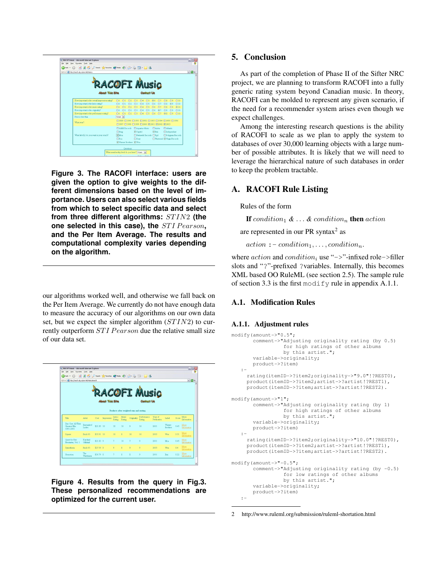

**Figure 3. The RACOFI interface: users are given the option to give weights to the different dimensions based on the level of importance. Users can also select various fields from which to select specific data and select** from three different algorithms:  $STIN2$  (the one selected in this case), the **STI Pearson**, **and the Per Item Average. The results and computational complexity varies depending on the algorithm.**

our algorithms worked well, and otherwise we fall back on the Per Item Average. We currently do not have enough data to measure the accuracy of our algorithms on our own data set, but we expect the simpler algorithm  $(STIN2)$  to currently outperform  $STI$  *Pearson* due the relative small size of our data set.

| File Edit<br>○ bak · ○ · × 2 ☆ Psenth grewster @ mds ④ ☆ ふ □ · ■ 名 | 'Seve Favorites Tools Help |             |                        |                        |                |                                          |                                   |                        |                    |       |                     |
|--------------------------------------------------------------------|----------------------------|-------------|------------------------|------------------------|----------------|------------------------------------------|-----------------------------------|------------------------|--------------------|-------|---------------------|
| Address a Http://racofi.elg.ca/servlet/RalocaSearch                |                            |             |                        |                        |                |                                          |                                   |                        |                    |       | $\sim$ $\Box$       |
|                                                                    |                            |             | <b>About This Site</b> |                        |                |                                          | <b>COFI Music</b><br>Comitacti Us |                        |                    |       |                     |
|                                                                    |                            |             |                        |                        |                | Products after weighted sum and secting. |                                   |                        |                    |       |                     |
| Title                                                              | Artist                     | Cost        | Impression             | Lyncs<br><b>Bating</b> | Muze<br>Rating | Originality                              | Performance<br><b>Rating</b>      | Year of<br>Publication | Label.             | Spore | More<br>Information |
| Disc One: All Their<br>Greatest Hits<br>1991-2001                  | <b>Barenaked</b><br>Tadex  | $$21.83$ 10 |                        | 10                     | 10             | $\mathbf{Q}$                             | 10                                | 2001                   | Warner<br>Brothers | 9.45  | More<br>Information |
| <b>Squee</b>                                                       | Buck 65                    | \$33.91 10  |                        | 10                     | $\mathbf{8}$   | 10                                       | 10                                | 2003                   | Wea                | 9.31  | More<br>Information |
| Quest for Fire:<br>Firestarter, Vol. 1                             | Kardnal<br>Official        | \$21.83.9   |                        | $\overline{a}$         | 10             | n.                                       | 9                                 | 2001                   | Mea                | 8.45  | More<br>Information |
|                                                                    | Buck 65                    | \$27.59 8   |                        | $\ddot{\mathbf{Q}}$    | $\mathbf{R}$   | $\overline{Q}$                           | $\overline{Q}$                    | 2003                   | Wea                | 84    | More<br>Information |
| Synesthesia                                                        |                            |             |                        |                        |                |                                          |                                   |                        |                    |       | More                |

**Figure 4. Results from the query in Fig.3. These personalized recommendations are optimized for the current user.**

# 5. Conclusion

As part of the completion of Phase II of the Sifter NRC project, we are planning to transform RACOFI into a fully generic rating system beyond Canadian music. In theory, RACOFI can be molded to represent any given scenario, if the need for a recommender system arises even though we expect challenges.

Among the interesting research questions is the ability of RACOFI to scale as we plan to apply the system to databases of over 30,000 learning objects with a large number of possible attributes. It is likely that we will need to leverage the hierarchical nature of such databases in order to keep the problem tractable.

# A. RACOFI Rule Listing

Rules of the form

If condition<sub>1</sub>  $\& \ldots \&$  condition<sub>n</sub> then action

are represented in our PR syntax $2$  as

 $action := condition_1, \ldots, condition_n.$ 

where  $action$  and  $condition$ <sub>i</sub> use "->"-infixed role->filler slots and "?"-prefixed ?variables. Internally, this becomes XML based OO RuleML (see section 2.5). The sample rule of section 3.3 is the first modify rule in appendix A.1.1.

# A.1. Modification Rules

# A.1.1. Adjustment rules

```
modify(amount->"0.5";
       comment->"Adjusting originality rating (by 0.5)
                 for high ratings of other albums
                 by this artist.";
       variable->originality;
       product->?item)
   :-
     rating(itemID->?item2;originality->"9.0"!?REST0),
     product(itemID->?item2;artist->?artist!?REST1),
     product(itemID->?item;artist->?artist!?REST2).
modify(amount->"1";
       comment->"Adjusting originality rating (by 1)
                 for high ratings of other albums
                 by this artist.";
       variable->originality;
      product->?item)
   :-
     rating(itemID->?item2;originality->"10.0"!?REST0),
     product(itemID->?item2;artist->?artist!?REST1),
     product(itemID->?item;artist->?artist!?REST2).
modify(amount->"-0.5";
       comment->"Adjusting originality rating (by -0.5)
                 for low ratings of other albums
                 by this artist.";
       variable->originality;
       product->?item)
   :-
```
<sup>2</sup> http://www.ruleml.org/submission/ruleml-shortation.html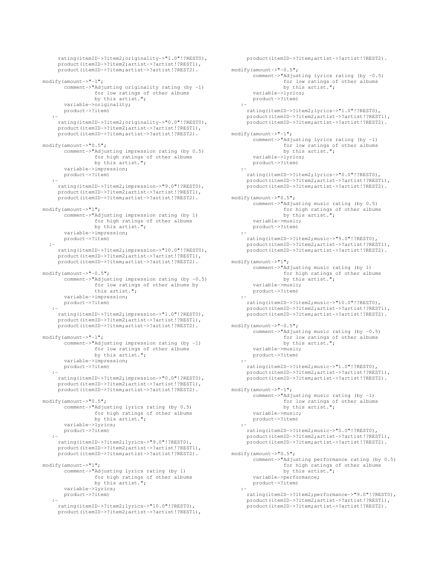```
rating(itemID->?item2;originality->"1.0"!?REST0),
     product(itemID->?item2;artist->?artist!?REST1),
     product(itemID->?item;artist->?artist!?REST2).
modify(amount->"-1";
       comment->"Adjusting originality rating (by -1)
                 for low ratings of other albums
                 by this artist.";
       variable->originality;
       product->?item)
   :-
     rating(itemID->?item2;originality->"0.0"!?REST0),
     product(itemID->?item2;artist->?artist!?REST1),
     product(itemID->?item;artist->?artist!?REST2).
modify(amount->"0.5";
       comment->"Adjusting impression rating (by 0.5)
                 for high ratings of other albums
                 by this artist.";
       variable->impression;
       product->?item)
   :-
     rating(itemID->?item2;impression->"9.0"!?REST0),
     product(itemID->?item2;artist->?artist!?REST1),
     product(itemID->?item;artist->?artist!?REST2).
modify(amount->"1";
       comment->"Adjusting impression rating (by 1)
                  for high ratings of other albums
by this artist.";
       variable->impression;
       product->?item)
  :-
     rating(itemID->?item2;impression->"10.0"!?REST0),
     product(itemID->?item2;artist->?artist!?REST1),
     product(itemID->?item;artist->?artist!?REST2).
modify(amount->"-0.5";
       comment->"Adjusting impression rating (by -0.5)
                 for low ratings of other albums by
                 this artist.";
       variable->impression;
       product->?item)
   :-
     rating(itemID->?item2;impression->"1.0"!?REST0),
     product(itemID->?item2;artist->?artist!?REST1),
     product(itemID->?item;artist->?artist!?REST2).
modify(amount->"-1";
       comment->"Adjusting impression rating (by -1)
                 for low ratings of other albums
                 by this artist.";
       variable->impression;
       product->?item)
   :-
     rating(itemID->?item2;impression->"0.0"!?REST0),
     product(itemID->?item2;artist->?artist!?REST1),
     product(itemID->?item;artist->?artist!?REST2).
modify(amount->"0.5";
       comment->"Adjusting lyrics rating (by 0.5)
                  for high ratings of other albums
by this artist.";
       variable->lyrics;
       product->?item)
   :-
     rating(itemID->?item2;lyrics->"9.0"!?REST0),
     product(itemID->?item2;artist->?artist!?REST1),
     product(itemID->?item;artist->?artist!?REST2).
modify(amount->"1";
       comment->"Adjusting lyrics rating (by 1)
                 for high ratings of other albums
                 by this artist.";
       variable->lyrics;
       product->?item)
   :-
     rating(itemID->?item2;lyrics->"10.0"!?REST0),
     product(itemID->?item2;artist->?artist!?REST1),
```

```
product(itemID->?item;artist->?artist!?REST2).
modify(amount->"-0.5";
      comment->"Adjusting lyrics rating (by -0.5)
                 for low ratings of other albums
                 by this artist.";
       variable->lyrics;
      product->?item)
   :-
     rating(itemID->?item2;lyrics->"1.0"!?REST0),
     product(itemID->?item2;artist->?artist!?REST1),
product(itemID->?item;artist->?artist!?REST2).
modify(amount->"-1";
       comment->"Adjusting lyrics rating (by -1)
                  for low ratings of other albums<br>by this artist.";
       variable->lyrics;
       product->?item)
   :-
     rating(itemID->?item2;lyrics->"0.0"!?REST0),
     product(itemID->?item2;artist->?artist!?REST1),
     product(itemID->?item;artist->?artist!?REST2).
modify(amount->"0.5";
       comment->"Adjusting music rating (by 0.5)
                 for high ratings of other albums
                 by this artist.";
       variable->music;
       product->?item)
   :-
     rating(itemID->?item2;music->"9.0"!?REST0),
     product(itemID->?item2;artist->?artist!?REST1),
     product(itemID->?item;artist->?artist!?REST2).
modify(amount->"1";
      comment->"Adjusting music rating (by 1)
                 for high ratings of other albums
                 by this artist.";
       variable->music;
       product->?item)
   :-
     rating(itemID->?item2;music->"10.0"!?REST0),
     product(itemID->?item2;artist->?artist!?REST1),
     product(itemID->?item;artist->?artist!?REST2).
modify(amount->"-0.5";
      comment->"Adjusting music rating (by -0.5)
                 for low ratings of other albums
                 by this artist.";
       variable->music;
       product->?item)
   :-
     rating(itemID->?item2;music->"1.0"!?REST0),
     product(itemID->?item2;artist->?artist!?REST1),
     product(itemID->?item;artist->?artist!?REST2).
modify(amount->"-1";
       comment->"Adjusting music rating (by -1)
                 for low ratings of other albums
                 by this artist.";
       variable->music;
       product->?item)
   :-
     rating(itemID->?item2;music->"0.0"!?REST0),
     product(itemID->?item2;artist->?artist!?REST1),
     product(itemID->?item;artist->?artist!?REST2).
modify(amount->"0.5";
      comment->"Adjusting performance rating (by 0.5)
                 for high ratings of other albums
                 by this artist.";
      variable->performance;
      product->?item)
   :-
     rating(itemID->?item2;performance->"9.0"!?REST0),
     product(itemID->?item2;artist->?artist!?REST1),
```
product(itemID->?item;artist->?artist!?REST2).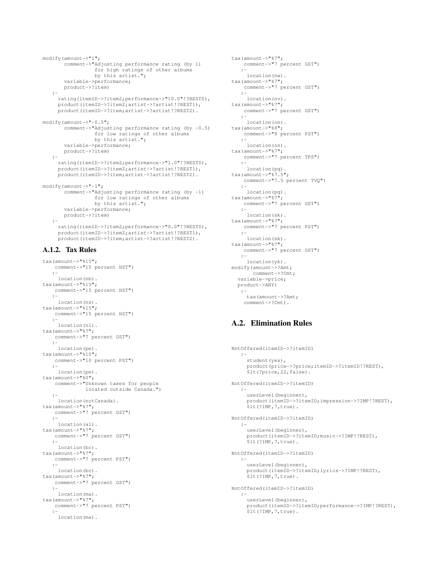```
modify(amount->"1";
       comment->"Adjusting performance rating (by 1)
                  for high ratings of other albums
by this artist.";
       variable->performance;
       product->?item)
   :-
     rating(itemID->?item2;performance->"10.0"!?REST0),
     product(itemID->?item2;artist->?artist!?REST1),
     product(itemID->?item;artist->?artist!?REST2).
modify(amount->"-0.5";
       comment->"Adjusting performance rating (by -0.5)
                  for low ratings of other albums
                 by this artist.";
       variable->performance;
       product->?item)
   :-
     rating(itemID->?item2;performance->"1.0"!?REST0),
     product(itemID->?item2;artist->?artist!?REST1),
     product(itemID->?item;artist->?artist!?REST2).
modify(amount->"-1";
       comment->"Adjusting performance rating (by -1)
                  for low ratings of other albums<br>by this artist.";
       variable->performance;
       product->?item)
   :-
     rating(itemID->?item2;performance->"0.0"!?REST0),
     product(itemID->?item2;artist->?artist!?REST1),
     product(itemID->?item;artist->?artist!?REST2).
```
# A.1.2. Tax Rules

```
tax(amount->"%15";
   comment->"15 percent HST")
   :-
    location(nb).
tax(amount->"%15";
   comment->"15 percent HST")
   :-
    location(ns).
tax(amount->"%15";
   comment->"15 percent HST")
   :-
    location(nl).
tax(amount->"%7";
   comment->"7 percent GST")
   :-
    location(pe).
tax(amount->"%10";
   comment->"10 percent PST")
   :-
   location(pe).
tax(amount->"\frac{1}{60}";
   comment->"Unknown taxes for people
             located outside Canada.")
   :-
    location(notCanada).
tax(amount->"%7";
   comment->"7 percent GST")
   :-
    location(al).
tax(amount->"%7";
   comment->"7 percent GST")
   :-
    location(bc).
tax(amount->"%7";
   comment->"7 percent PST")
   :-
    location(bc).
tax(amount->"%7";
   comment->"7 percent GST")
   :-
    location(ma).
tax(amount->"%7";
   comment->"7 percent PST")
   :-
    location(ma).
```

```
tax(amount->"%7";
   comment->"7 percent GST")
  :-
    location(nw).
tax(amount->"%7";
   comment->"7 percent GST")
   :-
    location(nv).
tax(amount->"%7";
   comment->"7 percent GST")
   :-
   location(on).
tax(amount->"%8";
   comment->"8 percent PST")
   :-
location(on).<br>tax(amount->"%7";
   comment->"7 percent TPS")
  :-
   location(pq).
tax(amount->"%7.5";
   comment->"7.5 percent TVQ")
  :-
    location(pq).
tax(amount->"%7";
   comment->"7 percent GST")
   :-
    location(sk).
tax(amount->"%7";
   comment->"7 percent PST")
   :-
    location(sk).
tax(amount->"%7";
   comment->"7 percent GST")
   :-
    location(yk).
modify(amount->?Amt;
       comment->?Cmt;
  variable->price;
  product->ANY)
   :-
    tax(amount->?Amt;
    comment->?Cmt).
```
## A.2. Elimination Rules

```
NotOffered(itemID->?itemID)
  :-
    student(yes),
     product(price->?price;itemID->?itemID!?REST),
     $lt(?price,22,false).
NotOffered(itemID->?itemID)
   :-
    userLevel(beginner),
     product(itemID->?itemID;impression->?IMP!?REST),
     $lt(?IMP,7,true).
NotOffered(itemID->?itemID)
   :-
     userLevel(beginner),
     product(itemID->?itemID;music->?IMP!?REST),
     .<br>$1t(?IMP, 7, true).
NotOffered(itemID->?itemID)
  :-
    userLevel(beginner),
     product(itemID->?itemID;lyrics->?IMP!?REST),
     $lt(?IMP,7,true).
NotOffered(itemID->?itemID)
   :-
    userLevel(beginner),
     product(itemID->?itemID;performance->?IMP!?REST),
$lt(?IMP,7,true).
```